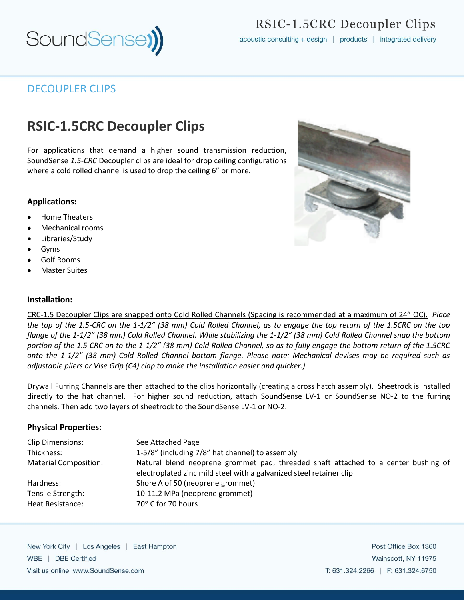

# RSIC-1.5CRC Decoupler Clips

acoustic consulting + design | products | integrated delivery

### DECOUPLER CLIPS

# **RSIC-1.5CRC Decoupler Clips**

For applications that demand a higher sound transmission reduction, SoundSense *1.5-CRC* Decoupler clips are ideal for drop ceiling configurations where a cold rolled channel is used to drop the ceiling 6" or more.

#### **Applications:**

- Home Theaters
- Mechanical rooms
- Libraries/Study
- Gyms
- Golf Rooms
- Master Suites

#### **Installation:**

CRC-1.5 Decoupler Clips are snapped onto Cold Rolled Channels (Spacing is recommended at a maximum of 24" OC). *Place the top of the 1.5-CRC on the 1-1/2" (38 mm) Cold Rolled Channel, as to engage the top return of the 1.5CRC on the top flange of the 1-1/2" (38 mm) Cold Rolled Channel. While stabilizing the 1-1/2" (38 mm) Cold Rolled Channel snap the bottom portion of the 1.5 CRC on to the 1-1/2" (38 mm) Cold Rolled Channel, so as to fully engage the bottom return of the 1.5CRC onto the 1-1/2" (38 mm) Cold Rolled Channel bottom flange. Please note: Mechanical devises may be required such as adjustable pliers or Vise Grip (C4) clap to make the installation easier and quicker.)* 

Drywall Furring Channels are then attached to the clips horizontally (creating a cross hatch assembly). Sheetrock is installed directly to the hat channel. For higher sound reduction, attach SoundSense LV-1 or SoundSense NO-2 to the furring channels. Then add two layers of sheetrock to the SoundSense LV-1 or NO-2.

#### **Physical Properties:**

| <b>Clip Dimensions:</b>      | See Attached Page                                                                                                                                         |
|------------------------------|-----------------------------------------------------------------------------------------------------------------------------------------------------------|
| Thickness:                   | 1-5/8" (including 7/8" hat channel) to assembly                                                                                                           |
| <b>Material Composition:</b> | Natural blend neoprene grommet pad, threaded shaft attached to a center bushing of<br>electroplated zinc mild steel with a galvanized steel retainer clip |
| Hardness:                    | Shore A of 50 (neoprene grommet)                                                                                                                          |
| Tensile Strength:            | 10-11.2 MPa (neoprene grommet)                                                                                                                            |
| Heat Resistance:             | 70° C for 70 hours                                                                                                                                        |